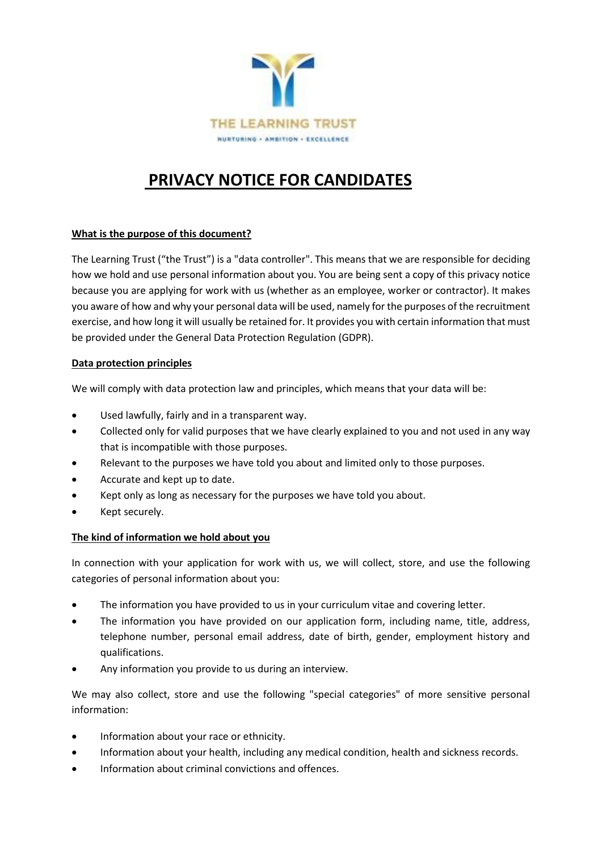

# **PRIVACY NOTICE FOR CANDIDATES**

# **What is the purpose of this document?**

The Learning Trust ("the Trust") is a "data controller". This means that we are responsible for deciding how we hold and use personal information about you. You are being sent a copy of this privacy notice because you are applying for work with us (whether as an employee, worker or contractor). It makes you aware of how and why your personal data will be used, namely for the purposes of the recruitment exercise, and how long it will usually be retained for. It provides you with certain information that must be provided under the General Data Protection Regulation (GDPR).

# **Data protection principles**

We will comply with data protection law and principles, which means that your data will be:

- Used lawfully, fairly and in a transparent way.
- Collected only for valid purposes that we have clearly explained to you and not used in any way that is incompatible with those purposes.
- Relevant to the purposes we have told you about and limited only to those purposes.
- Accurate and kept up to date.
- Kept only as long as necessary for the purposes we have told you about.
- Kept securely.

# **The kind of information we hold about you**

In connection with your application for work with us, we will collect, store, and use the following categories of personal information about you:

- The information you have provided to us in your curriculum vitae and covering letter.
- The information you have provided on our application form, including name, title, address, telephone number, personal email address, date of birth, gender, employment history and qualifications.
- Any information you provide to us during an interview.

We may also collect, store and use the following "special categories" of more sensitive personal information:

- Information about your race or ethnicity.
- Information about your health, including any medical condition, health and sickness records.
- Information about criminal convictions and offences.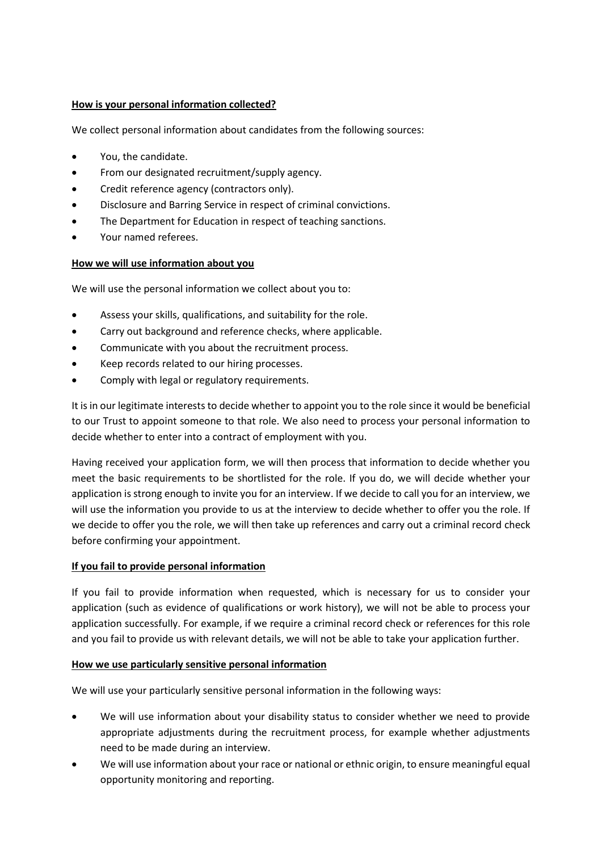# **How is your personal information collected?**

We collect personal information about candidates from the following sources:

- You, the candidate.
- From our designated recruitment/supply agency.
- Credit reference agency (contractors only).
- Disclosure and Barring Service in respect of criminal convictions.
- The Department for Education in respect of teaching sanctions.
- Your named referees.

# **How we will use information about you**

We will use the personal information we collect about you to:

- Assess your skills, qualifications, and suitability for the role.
- Carry out background and reference checks, where applicable.
- Communicate with you about the recruitment process.
- Keep records related to our hiring processes.
- Comply with legal or regulatory requirements.

It is in our legitimate interests to decide whether to appoint you to the role since it would be beneficial to our Trust to appoint someone to that role. We also need to process your personal information to decide whether to enter into a contract of employment with you.

Having received your application form, we will then process that information to decide whether you meet the basic requirements to be shortlisted for the role. If you do, we will decide whether your application is strong enough to invite you for an interview. If we decide to call you for an interview, we will use the information you provide to us at the interview to decide whether to offer you the role. If we decide to offer you the role, we will then take up references and carry out a criminal record check before confirming your appointment.

# **If you fail to provide personal information**

If you fail to provide information when requested, which is necessary for us to consider your application (such as evidence of qualifications or work history), we will not be able to process your application successfully. For example, if we require a criminal record check or references for this role and you fail to provide us with relevant details, we will not be able to take your application further.

#### **How we use particularly sensitive personal information**

We will use your particularly sensitive personal information in the following ways:

- We will use information about your disability status to consider whether we need to provide appropriate adjustments during the recruitment process, for example whether adjustments need to be made during an interview.
- We will use information about your race or national or ethnic origin, to ensure meaningful equal opportunity monitoring and reporting.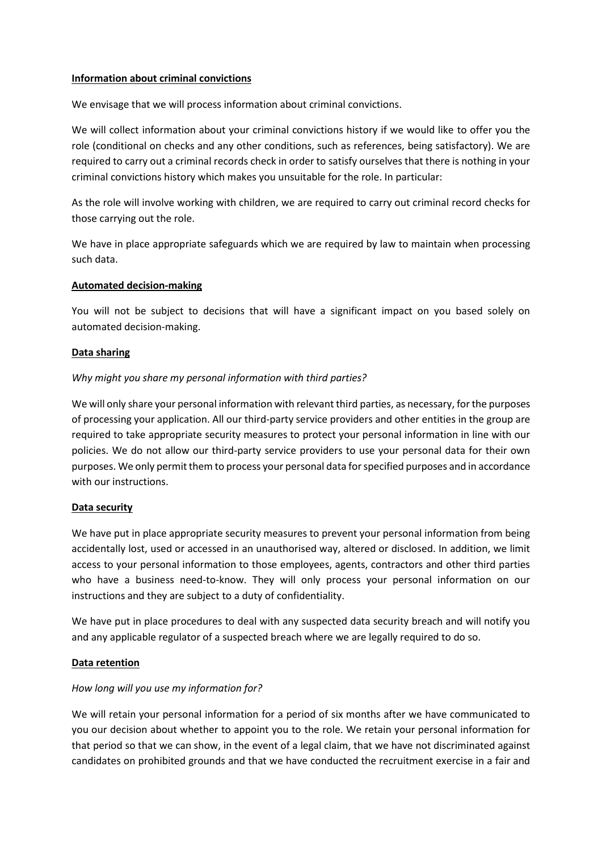#### **Information about criminal convictions**

We envisage that we will process information about criminal convictions.

We will collect information about your criminal convictions history if we would like to offer you the role (conditional on checks and any other conditions, such as references, being satisfactory). We are required to carry out a criminal records check in order to satisfy ourselves that there is nothing in your criminal convictions history which makes you unsuitable for the role. In particular:

As the role will involve working with children, we are required to carry out criminal record checks for those carrying out the role.

We have in place appropriate safeguards which we are required by law to maintain when processing such data.

## **Automated decision-making**

You will not be subject to decisions that will have a significant impact on you based solely on automated decision-making.

## **Data sharing**

# *Why might you share my personal information with third parties?*

We will only share your personal information with relevant third parties, as necessary, for the purposes of processing your application. All our third-party service providers and other entities in the group are required to take appropriate security measures to protect your personal information in line with our policies. We do not allow our third-party service providers to use your personal data for their own purposes. We only permit them to process your personal data for specified purposes and in accordance with our instructions.

#### **Data security**

We have put in place appropriate security measures to prevent your personal information from being accidentally lost, used or accessed in an unauthorised way, altered or disclosed. In addition, we limit access to your personal information to those employees, agents, contractors and other third parties who have a business need-to-know. They will only process your personal information on our instructions and they are subject to a duty of confidentiality.

We have put in place procedures to deal with any suspected data security breach and will notify you and any applicable regulator of a suspected breach where we are legally required to do so.

# **Data retention**

# *How long will you use my information for?*

We will retain your personal information for a period of six months after we have communicated to you our decision about whether to appoint you to the role. We retain your personal information for that period so that we can show, in the event of a legal claim, that we have not discriminated against candidates on prohibited grounds and that we have conducted the recruitment exercise in a fair and